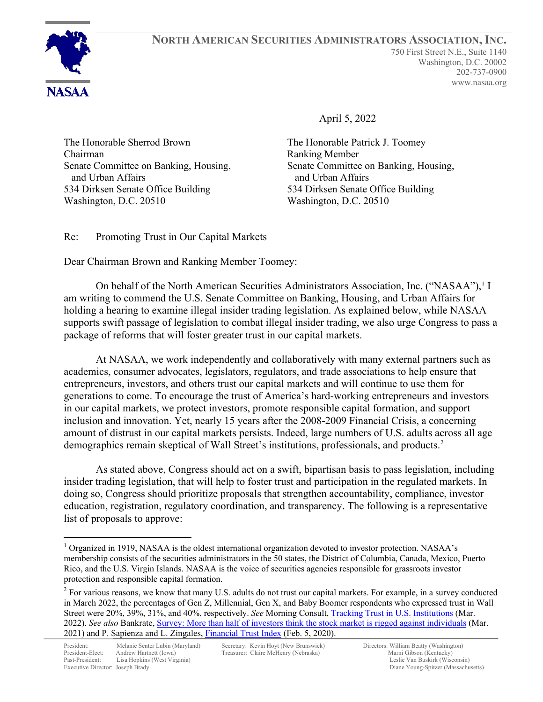

**NORTH AMERICAN SECURITIES ADMINISTRATORS ASSOCIATION, INC.** 750 First Street N.E., Suite 1140 Washington, D.C. 20002 202-737-0900 www.nasaa.org

April 5, 2022

The Honorable Sherrod Brown Chairman Senate Committee on Banking, Housing, and Urban Affairs 534 Dirksen Senate Office Building Washington, D.C. 20510

The Honorable Patrick J. Toomey Ranking Member Senate Committee on Banking, Housing, and Urban Affairs 534 Dirksen Senate Office Building Washington, D.C. 20510

Re: Promoting Trust in Our Capital Markets

Dear Chairman Brown and Ranking Member Toomey:

On behalf of the North American Securities Administrators Association, Inc. ("NASAA"),<sup>[1](#page-0-0)</sup> I am writing to commend the U.S. Senate Committee on Banking, Housing, and Urban Affairs for holding a hearing to examine illegal insider trading legislation. As explained below, while NASAA supports swift passage of legislation to combat illegal insider trading, we also urge Congress to pass a package of reforms that will foster greater trust in our capital markets.

At NASAA, we work independently and collaboratively with many external partners such as academics, consumer advocates, legislators, regulators, and trade associations to help ensure that entrepreneurs, investors, and others trust our capital markets and will continue to use them for generations to come. To encourage the trust of America's hard-working entrepreneurs and investors in our capital markets, we protect investors, promote responsible capital formation, and support inclusion and innovation. Yet, nearly 15 years after the 2008-2009 Financial Crisis, a concerning amount of distrust in our capital markets persists. Indeed, large numbers of U.S. adults across all age demographics remain skeptical of Wall Street's institutions, professionals, and products. [2](#page-0-1)

As stated above, Congress should act on a swift, bipartisan basis to pass legislation, including insider trading legislation, that will help to foster trust and participation in the regulated markets. In doing so, Congress should prioritize proposals that strengthen accountability, compliance, investor education, registration, regulatory coordination, and transparency. The following is a representative list of proposals to approve:

<span id="page-0-0"></span><sup>&</sup>lt;sup>1</sup> Organized in 1919, NASAA is the oldest international organization devoted to investor protection. NASAA's membership consists of the securities administrators in the 50 states, the District of Columbia, Canada, Mexico, Puerto Rico, and the U.S. Virgin Islands. NASAA is the voice of securities agencies responsible for grassroots investor protection and responsible capital formation.

<span id="page-0-1"></span><sup>&</sup>lt;sup>2</sup> For various reasons, we know that many U.S. adults do not trust our capital markets. For example, in a survey conducted in March 2022, the percentages of Gen Z, Millennial, Gen X, and Baby Boomer respondents who expressed trust in Wall Street were 20%, 39%, 31%, and 40%, respectively. *See* Morning Consult, [Tracking Trust in U.S. Institutions](https://morningconsult.com/tracking-trust-in-institutions/) (Mar. 2022). *See also* Bankrate, [Survey: More than half of investors think the stock market is rigged against individuals](https://www.bankrate.com/investing/stock-market-financial-security-march-2021/) (Mar. 2021) and P. Sapienza and L. Zingales, [Financial Trust Index](http://www.financialtrustindex.org/resultswave28.htm) (Feb. 5, 2020).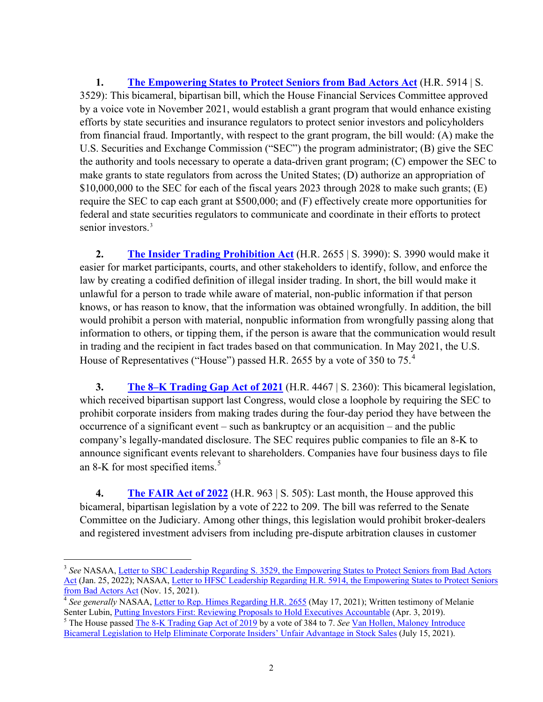**1. The Empowering States [to Protect Seniors from Bad](https://www.congress.gov/bill/117th-congress/senate-bill/3529?q=%7B%22search%22%3A%5B%22The+Empowering+States+to+Protect+Seniors+from+Bad+Actors+Act%22%2C%22The%22%2C%22Empowering%22%2C%22States%22%2C%22to%22%2C%22Protect%22%2C%22Seniors%22%2C%22from%22%2C%22Bad%22%2C%22Actors%22%2C%22Act%22%5D%7D&s=3&r=1) Actors Act** (H.R. 5914 | S. 3529): This bicameral, bipartisan bill, which the House Financial Services Committee approved by a voice vote in November 2021, would establish a grant program that would enhance existing efforts by state securities and insurance regulators to protect senior investors and policyholders from financial fraud. Importantly, with respect to the grant program, the bill would: (A) make the U.S. Securities and Exchange Commission ("SEC") the program administrator; (B) give the SEC the authority and tools necessary to operate a data-driven grant program; (C) empower the SEC to make grants to state regulators from across the United States; (D) authorize an appropriation of \$10,000,000 to the SEC for each of the fiscal years 2023 through 2028 to make such grants; (E) require the SEC to cap each grant at \$500,000; and (F) effectively create more opportunities for federal and state securities regulators to communicate and coordinate in their efforts to protect senior investors.<sup>[3](#page-1-0)</sup>

**2. [The Insider Trading Prohibition Act](https://www.congress.gov/bill/117th-congress/senate-bill/3990?q=%7B%22search%22%3A%5B%22congressId%3A117+AND+billStatus%3A%5C%22Introduced%5C%22%22%5D%7D&s=1&r=25)** (H.R. 2655 | S. 3990): S. 3990 would make it easier for market participants, courts, and other stakeholders to identify, follow, and enforce the law by creating a codified definition of illegal insider trading. In short, the bill would make it unlawful for a person to trade while aware of material, non-public information if that person knows, or has reason to know, that the information was obtained wrongfully. In addition, the bill would prohibit a person with material, nonpublic information from wrongfully passing along that information to others, or tipping them, if the person is aware that the communication would result in trading and the recipient in fact trades based on that communication. In May 2021, the U.S. House of Representatives ("House") passed H.R. 2655 by a vote of 350 to 75.<sup>[4](#page-1-1)</sup>

**3. [The 8–K Trading Gap Act of 2021](https://www.congress.gov/bill/117th-congress/senate-bill/2360?q=%7B%22search%22%3A%5B%22The+8%5Cu2013K+Trading+Gap+Act+of+2021%22%2C%22The%22%2C%228%5Cu2013K%22%2C%22Trading%22%2C%22Gap%22%2C%22Act%22%2C%22of%22%2C%222021%22%5D%7D&s=4&r=2)** (H.R. 4467 | S. 2360): This bicameral legislation, which received bipartisan support last Congress, would close a loophole by requiring the SEC to prohibit corporate insiders from making trades during the four-day period they have between the occurrence of a significant event – such as bankruptcy or an acquisition – and the public company's legally-mandated disclosure. The SEC requires public companies to file an 8-K to announce significant events relevant to shareholders. Companies have four business days to file an 8-K for most specified items.<sup>[5](#page-1-2)</sup>

**4. [The FAIR Act](https://www.congress.gov/bill/117th-congress/house-bill/963?q=%7B%22search%22%3A%5B%22The+Forced+Arbitration+Injustice+Repeal+Act+of+2022%22%2C%22The%22%2C%22Forced%22%2C%22Arbitration%22%2C%22Injustice%22%2C%22Repeal%22%2C%22Act%22%2C%22of%22%2C%222022%22%5D%7D&s=5&r=2) of 2022** (H.R. 963 | S. 505): Last month, the House approved this bicameral, bipartisan legislation by a vote of 222 to 209. The bill was referred to the Senate Committee on the Judiciary. Among other things, this legislation would prohibit broker-dealers and registered investment advisers from including pre-dispute arbitration clauses in customer

<span id="page-1-0"></span><sup>3</sup> *See* NASAA[, Letter to SBC Leadership Regarding S. 3529, the Empowering States to Protect](https://www.nasaa.org/wp-content/uploads/2022/01/NASAA-Letter-to-SBC-Leadership-Regarding-S-3529-the-Empowering-States-to-Protection-Seniors-from-Bad-Actors-Act.pdf) Seniors from Bad Actors [Act](https://www.nasaa.org/wp-content/uploads/2022/01/NASAA-Letter-to-SBC-Leadership-Regarding-S-3529-the-Empowering-States-to-Protection-Seniors-from-Bad-Actors-Act.pdf) (Jan. 25, 2022); NASAA, Letter to HFSC Leadership Regarding H.R. 5914, the Empowering States to Protect Seniors [from Bad Actors Act](https://www.nasaa.org/wp-content/uploads/2021/11/NASAA-Letter-to-HFSC-Leadership-Re-HR-5914-FINAL-11-15-21.pdf) (Nov. 15, 2021).

<span id="page-1-1"></span><sup>&</sup>lt;sup>4</sup> See generally NASAA, <u>Letter to Rep. Himes Regarding H.R. 2655</u> (May 17, 2021); Written testimony of Melanie Senter Lubin, *Putting Investors First: Reviewing Proposals to Hold Executives Accountable (Apr. 3, 2019).* 

<span id="page-1-2"></span><sup>&</sup>lt;sup>5</sup> The House passed <u>The 8-K Trading Gap Act of 2019</u> by a vote of 384 to 7. *See* <u>Van Hollen, Maloney Introduce</u> Bicameral Legislation to Help Eliminate [Corporate Insiders' Unfair Advantage in Stock Sales](https://www.vanhollen.senate.gov/news/press-releases/van-hollen-maloney-introduce-bicameral-legislation-to-help-eliminate-corporate-insiders-unfair-advantage-in-stock-sales) (July 15, 2021).